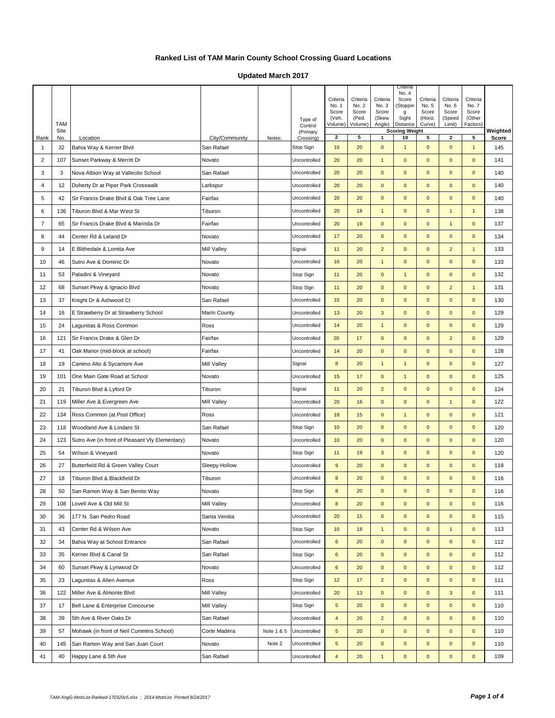**Updated March 2017**

|                | TAM<br>Site |                                                 |                |            | Type of<br>Control<br>(Primary | Criteria<br>No. 1<br>Score<br>(Veh.<br>Volume) | Criteria<br>No. 2<br>Score<br>(Ped.<br>Volume) | Criteria<br>No. 3<br>Score<br>(Skew<br>Angle) | Criteria<br>No. 4<br>Score<br>(Stoppin<br>g<br>Sight<br>Distance<br><b>Scoring Weight</b> | Criteria<br>No. 5<br>Score<br>(Horiz.<br>Curve) | Criteria<br>No. 6<br>Score<br>(Speed<br>Limit) | Criteria<br>No. 7<br>Score<br>(Other<br>Factors) | Weighted |
|----------------|-------------|-------------------------------------------------|----------------|------------|--------------------------------|------------------------------------------------|------------------------------------------------|-----------------------------------------------|-------------------------------------------------------------------------------------------|-------------------------------------------------|------------------------------------------------|--------------------------------------------------|----------|
| Rank           | No.         | Location                                        | City/Community | Notes:     | Crossing)                      | $\mathbf{2}$                                   | 5                                              | 1                                             | 10                                                                                        | 5                                               | $\mathbf{2}$                                   | 5                                                | Score    |
| 1              | 32          | Bahia Way & Kerner Blvd                         | San Rafael     |            | Stop Sign                      | 15                                             | 20                                             | $\mathbf 0$                                   | $\mathbf{1}$                                                                              | $\mathbf 0$                                     | $\mathbf 0$                                    | $\mathbf{1}$                                     | 145      |
| 2              | 107         | Sunset Parkway & Merritt Dr                     | Novato         |            | Uncontrolled                   | 20                                             | 20                                             | $\mathbf{1}$                                  | $\mathbf 0$                                                                               | $\mathbf{0}$                                    | $\mathbf{0}$                                   | $\mathbf 0$                                      | 141      |
| 3              | 3           | Nova Albion Way at Vallecito School             | San Rafael     |            | Uncontrolled                   | 20                                             | 20                                             | $\mathbf 0$                                   | $\mathbf 0$                                                                               | $\mathbf{0}$                                    | $\mathbf{0}$                                   | $\mathbf 0$                                      | 140      |
| $\overline{4}$ | 12          | Doherty Dr at Piper Park Crosswalk              | Larkspur       |            | Uncontrolled                   | 20                                             | 20                                             | $\pmb{0}$                                     | $\mathbf 0$                                                                               | $\mathbf 0$                                     | $\mathbf 0$                                    | $\pmb{0}$                                        | 140      |
| 5              | 42          | Sir Francis Drake Blvd & Oak Tree Lane          | Fairfax        |            | Uncontrolled                   | 20                                             | 20                                             | $\pmb{0}$                                     | $\mathbf 0$                                                                               | $\mathbf{0}$                                    | $\mathbf{0}$                                   | $\pmb{0}$                                        | 140      |
| 6              | 136         | Tiburon Blvd & Mar West St                      | Tiburon        |            | Uncontrolled                   | 20                                             | 18                                             | $\mathbf{1}$                                  | $\mathbf 0$                                                                               | $\mathbf{0}$                                    | $\mathbf{1}$                                   | $\mathbf{1}$                                     | 138      |
| $\overline{7}$ | 65          | Sir Francis Drake Blvd & Marinda Dr             | Fairfax        |            | Uncontrolled                   | 20                                             | 19                                             | $\mathbf{0}$                                  | $\mathbf 0$                                                                               | $\mathbf{0}$                                    | $\mathbf{1}$                                   | $\pmb{0}$                                        | 137      |
| 8              | 44          | Center Rd & Leland Dr                           | Novato         |            | Uncontrolled                   | 17                                             | 20                                             | $\mathbf 0$                                   | $\mathbf{0}$                                                                              | $\mathbf{0}$                                    | $\mathbf{0}$                                   | $\mathbf 0$                                      | 134      |
| 9              | 14          | E Blithedale & Lomita Ave                       | Mill Valley    |            | Signal                         | 11                                             | 20                                             | $\overline{2}$                                | $\mathbf 0$                                                                               | $\mathbf{0}$                                    | $\overline{2}$                                 | $\mathbf{1}$                                     | 133      |
| 10             | 46          | Sutro Ave & Dominic Dr                          | Novato         |            | Uncontrolled                   | 16                                             | 20                                             | $\mathbf{1}$                                  | $\mathbf 0$                                                                               | $\mathbf{0}$                                    | $\mathbf 0$                                    | $\mathbf 0$                                      | 133      |
| 11             | 53          | Paladini & Vineyard                             | Novato         |            | Stop Sign                      | 11                                             | 20                                             | $\mathbf 0$                                   | $\mathbf{1}$                                                                              | $\mathbf{0}$                                    | $\mathbf{0}$                                   | $\mathbf 0$                                      | 132      |
| 12             | 68          | Sunset Pkwy & Ignacio Blvd                      | Novato         |            | Stop Sign                      | 11                                             | 20                                             | $\mathbf 0$                                   | $\mathbf 0$                                                                               | $\mathbf{0}$                                    | $\overline{2}$                                 | $\mathbf{1}$                                     | 131      |
| 13             | 37          | Knight Dr & Ashwood Ct                          | San Rafael     |            | Uncontrolled                   | 15                                             | 20                                             | $\pmb{0}$                                     | $\mathbf 0$                                                                               | $\mathbf{0}$                                    | $\mathbf 0$                                    | $\pmb{0}$                                        | 130      |
| 14             | 16          | E Strawberry Dr at Strawberry School            | Marin County   |            | Uncontrolled                   | 13                                             | 20                                             | $\mathbf{3}$                                  | $\mathbf{0}$                                                                              | $\mathbf{0}$                                    | $\mathbf{0}$                                   | $\mathbf 0$                                      | 129      |
| 15             | 24          | Lagunitas & Ross Common                         | Ross           |            | Uncontrolled                   | 14                                             | 20                                             | $\mathbf{1}$                                  | $\mathbf 0$                                                                               | $\mathbf{0}$                                    | $\mathbf 0$                                    | $\mathbf 0$                                      | 129      |
| 16             | 121         | Sir Francis Drake & Glen Dr                     | Fairfax        |            | Uncontrolled                   | 20                                             | 17                                             | $\pmb{0}$                                     | $\mathbf 0$                                                                               | $\mathbf{0}$                                    | $\overline{c}$                                 | $\pmb{0}$                                        | 129      |
| 17             | 41          | Oak Manor (mid-block at school)                 | Fairfax        |            | Uncontrolled                   | 14                                             | 20                                             | $\mathbf{0}$                                  | $\mathbf 0$                                                                               | $\mathbf{0}$                                    | $\mathbf{0}$                                   | $\mathbf 0$                                      | 128      |
| 18             | 19          | Camino Alto & Sycamore Ave                      | Mill Valley    |            | Signal                         | 8                                              | 20                                             | $\mathbf{1}$                                  | $\overline{1}$                                                                            | $\mathbf{0}$                                    | $\mathbf{0}$                                   | $\mathbf 0$                                      | 127      |
| 19             | 101         | One Main Gate Road at School                    | Novato         |            | Uncontrolled                   | 15                                             | 17                                             | $\mathbf 0$                                   | $\mathbf{1}$                                                                              | $\mathbf{0}$                                    | $\mathbf{0}$                                   | $\mathbf 0$                                      | 125      |
| 20             | 21          | Tiburon Blvd & Lyford Dr                        | Tiburon        |            | Signal                         | 11                                             | 20                                             | $\overline{2}$                                | $\mathbf 0$                                                                               | $\mathbf{0}$                                    | $\mathbf 0$                                    | $\mathbf 0$                                      | 124      |
| 21             | 119         | Miller Ave & Evergreen Ave                      | Mill Valley    |            | Uncontrolled                   | 20                                             | 16                                             | $\mathbf 0$                                   | $\mathbf 0$                                                                               | $\mathbf{0}$                                    | $\mathbf{1}$                                   | $\mathbf 0$                                      | 122      |
| 22             | 134         | Ross Common (at Post Office)                    | Ross           |            | Uncontrolled                   | 18                                             | 15                                             | $\mathbf 0$                                   | $\mathbf{1}$                                                                              | $\mathbf 0$                                     | $\mathbf 0$                                    | $\pmb{0}$                                        | 121      |
| 23             | 118         | Woodland Ave & Lindaro St                       | San Rafael     |            | Stop Sign                      | 10                                             | 20                                             | $\pmb{0}$                                     | $\mathbf 0$                                                                               | $\mathbf{0}$                                    | $\mathbf{0}$                                   | $\pmb{0}$                                        | 120      |
| 24             | 123         | Sutro Ave (in front of Pleasant Vly Elementary) | Novato         |            | Uncontrolled                   | 10                                             | 20                                             | $\mathbf 0$                                   | $\mathbf 0$                                                                               | $\mathbf{0}$                                    | $\mathbf 0$                                    | $\mathbf 0$                                      | 120      |
| 25             | 54          | Wilson & Vineyard                               | Novato         |            | Stop Sign                      | 11                                             | 19                                             | $\mathbf{3}$                                  | $\mathbf{0}$                                                                              | $\mathbf 0$                                     | $\mathbf{0}$                                   | $\mathbf 0$                                      | 120      |
| 26             | 27          | Butterfield Rd & Green Valley Court             | Sleepy Hollow  |            | Uncontrolled                   | 9                                              | 20                                             | $\mathbf{0}$                                  | $\mathbf 0$                                                                               | $\mathbf{0}$                                    | $\mathbf 0$                                    | $\mathbf 0$                                      | 118      |
| 27             | 18          | Tiburon Blvd & Blackfield Dr                    | Tiburon        |            | Uncontrolled                   | 8                                              | 20                                             | $\mathbf{0}$                                  | $\mathbf 0$                                                                               | $\mathbf{0}$                                    | $\mathbf 0$                                    | $\mathbf 0$                                      | 116      |
| 28             | 50          | San Ramon Way & San Benito Way                  | Novato         |            | Stop Sign                      | 8                                              | 20                                             | $\mathbf{0}$                                  | $\mathbf 0$                                                                               | $\mathbf{0}$                                    | $\mathbf{0}$                                   | $\mathbf 0$                                      | 116      |
| 29             | 108         | Lovell Ave & Old Mill St                        | Mill Valley    |            | Uncontrolled                   | 8                                              | 20                                             | $\pmb{0}$                                     | $\pmb{0}$                                                                                 | $\mathbf{0}$                                    | $\mathbf 0$                                    | $\mathbf{0}$                                     | 116      |
| 30             | 36          | 177 N San Pedro Road                            | Santa Venitia  |            | Uncontrolled                   | 20                                             | 15                                             | $\pmb{0}$                                     | $\pmb{0}$                                                                                 | $\mathbf 0$                                     | $\mathbf 0$                                    | $\pmb{0}$                                        | 115      |
| 31             | 43          | Center Rd & Wilson Ave                          | Novato         |            | Stop Sign                      | 10                                             | 18                                             | $\mathbf{1}$                                  | $\pmb{0}$                                                                                 | $\mathbf 0$                                     | $\mathbf{1}$                                   | $\mathbf 0$                                      | 113      |
| 32             | 34          | Bahia Way at School Entrance                    | San Rafael     |            | Uncontrolled                   | 6                                              | 20                                             | $\pmb{0}$                                     | $\pmb{0}$                                                                                 | $\mathbf 0$                                     | $\mathbf 0$                                    | $\pmb{0}$                                        | 112      |
| 33             | 35          | Kerner Blvd & Canal St                          | San Rafael     |            | Stop Sign                      | 6                                              | 20                                             | $\mathbf 0$                                   | $\mathbf 0$                                                                               | $\mathbf 0$                                     | $\mathbf 0$                                    | $\mathbf 0$                                      | 112      |
| 34             | 60          | Sunset Pkwy & Lynwood Dr                        | Novato         |            | Uncontrolled                   | 6                                              | 20                                             | $\mathbf 0$                                   | $\mathbf 0$                                                                               | $\mathbf 0$                                     | $\mathbf{0}$                                   | $\mathbf 0$                                      | 112      |
| 35             | 23          | Lagunitas & Allen Avenue                        | Ross           |            | Stop Sign                      | 12                                             | 17                                             | $\overline{c}$                                | $\pmb{0}$                                                                                 | $\mathbf 0$                                     | $\mathbf 0$                                    | $\pmb{0}$                                        | 111      |
| 36             | 122         | Miller Ave & Almonte Blvd                       | Mill Valley    |            | Uncontrolled                   | 20                                             | 13                                             | $\mathbf 0$                                   | $\mathbf 0$                                                                               | $\mathbf 0$                                     | $\mathbf{3}$                                   | $\mathbf 0$                                      | 111      |
| 37             | 17          | Bell Lane & Enterprise Concourse                | Mill Valley    |            | Stop Sign                      | $\mathbf 5$                                    | 20                                             | $\pmb{0}$                                     | $\mathbf 0$                                                                               | $\mathbf 0$                                     | $\mathbf{0}$                                   | $\mathbf 0$                                      | 110      |
| 38             | 39          | 5th Ave & River Oaks Dr                         | San Rafael     |            | Uncontrolled                   | $\overline{4}$                                 | 20                                             | $\overline{c}$                                | $\pmb{0}$                                                                                 | $\mathbf 0$                                     | $\mathbf 0$                                    | $\pmb{0}$                                        | 110      |
| 39             | 57          | Mohawk (in front of Neil Cummins School)        | Corte Madera   | Note 1 & 5 | Uncontrolled                   | $\sqrt{5}$                                     | 20                                             | $\mathbf 0$                                   | $\mathbf 0$                                                                               | $\mathbf 0$                                     | $\mathbf 0$                                    | $\mathbf 0$                                      | 110      |
| 40             | 145         | San Ramon Way and San Juan Court                | Novato         | Note 2     | Uncontrolled                   | $\sqrt{5}$                                     | 20                                             | $\mathbf 0$                                   | $\mathbf 0$                                                                               | $\mathbf 0$                                     | $\mathbf{0}$                                   | $\mathbf 0$                                      | 110      |
| 41             | 40          | Happy Lane & 5th Ave                            | San Rafael     |            | Uncontrolled                   | $\overline{4}$                                 | 20                                             | $\mathbf{1}$                                  | $\mathbf 0$                                                                               | $\mathbf 0$                                     | $\mathbf 0$                                    | $\pmb{0}$                                        | 109      |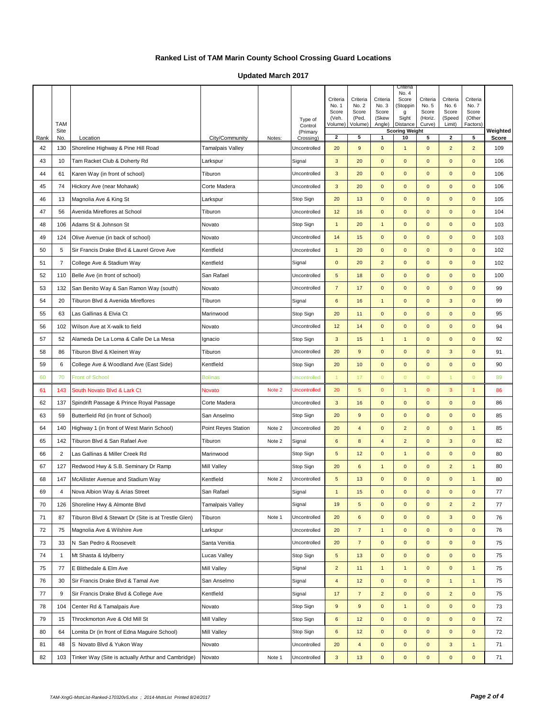**Updated March 2017**

|            | <b>TAM</b><br>Site |                                                     |                                    |        | Type of<br>Control<br>(Primary | Criteria<br>No. 1<br>Score<br>(Veh.<br>Volume) | Criteria<br>No. 2<br>Score<br>(Ped.<br>Volume) | Criteria<br>No. 3<br>Score<br>(Skew<br>Angle) | Criteria<br>No. 4<br>Score<br>(Stoppin<br>g<br>Sight<br>Distance<br><b>Scoring Weight</b> | Criteria<br>No. 5<br>Score<br>(Horiz.<br>Curve) | Criteria<br>No. 6<br>Score<br>(Speed<br>Limit) | Criteria<br>No. 7<br>Score<br>(Other<br>Factors) | Weighted     |
|------------|--------------------|-----------------------------------------------------|------------------------------------|--------|--------------------------------|------------------------------------------------|------------------------------------------------|-----------------------------------------------|-------------------------------------------------------------------------------------------|-------------------------------------------------|------------------------------------------------|--------------------------------------------------|--------------|
| Rank<br>42 | No.<br>130         | Location<br>Shoreline Highway & Pine Hill Road      | City/Community<br>Tamalpais Valley | Notes: | Crossing)<br>Uncontrolled      | $\mathbf{2}$<br>20                             | 5<br>9                                         | $\mathbf{1}$<br>$\mathbf 0$                   | 10<br>$\mathbf{1}$                                                                        | 5<br>$\mathbf{0}$                               | $\mathbf{2}$<br>$\overline{2}$                 | 5<br>$\overline{c}$                              | Score<br>109 |
| 43         | 10                 | Tam Racket Club & Doherty Rd                        | Larkspur                           |        | Signal                         | $\mathbf{3}$                                   | 20                                             | $\mathbf 0$                                   | $\mathbf 0$                                                                               | $\mathbf{0}$                                    | $\pmb{0}$                                      | $\mathbf 0$                                      | 106          |
| 44         |                    |                                                     |                                    |        | Uncontrolled                   | 3                                              | 20                                             | $\mathbf 0$                                   | $\mathbf 0$                                                                               | $\mathbf{0}$                                    | $\mathbf 0$                                    | $\mathbf 0$                                      | 106          |
|            | 61<br>74           | Karen Way (in front of school)                      | Tiburon                            |        |                                | $\mathbf{3}$                                   | 20                                             | $\mathbf 0$                                   |                                                                                           |                                                 | $\mathbf{0}$                                   | $\pmb{0}$                                        | 106          |
| 45         |                    | Hickory Ave (near Mohawk)                           | Corte Madera                       |        | Uncontrolled                   |                                                |                                                |                                               | $\mathbf 0$                                                                               | $\mathbf{0}$                                    |                                                |                                                  |              |
| 46         | 13                 | Magnolia Ave & King St                              | Larkspur                           |        | Stop Sign                      | 20                                             | 13                                             | $\mathbf 0$                                   | $\pmb{0}$                                                                                 | $\mathbf{0}$                                    | $\pmb{0}$                                      | $\mathbf{0}$                                     | 105          |
| 47         | 56                 | Avenida Mireflores at School                        | Tiburon                            |        | Uncontrolled                   | 12                                             | 16                                             | $\mathbf 0$                                   | $\mathbf 0$                                                                               | $\mathbf{0}$                                    | $\mathbf 0$                                    | $\mathbf 0$                                      | 104          |
| 48         | 106                | Adams St & Johnson St                               | Novato                             |        | Stop Sign                      | $\overline{1}$                                 | 20                                             | $\mathbf{1}$                                  | $\mathbf{0}$                                                                              | $\mathbf{0}$                                    | $\mathbf{0}$                                   | $\pmb{0}$                                        | 103          |
| 49         | 124                | Olive Avenue (in back of school)                    | Novato                             |        | Uncontrolled                   | 14                                             | 15                                             | $\mathbf 0$                                   | $\pmb{0}$                                                                                 | $\mathbf 0$                                     | $\pmb{0}$                                      | $\pmb{0}$                                        | 103          |
| 50         | $\sqrt{5}$         | Sir Francis Drake Blvd & Laurel Grove Ave           | Kentfield                          |        | Uncontrolled                   | $\mathbf{1}$                                   | 20                                             | $\pmb{0}$                                     | $\mathbf 0$                                                                               | $\mathbf{0}$                                    | $\mathbf 0$                                    | $\mathbf 0$                                      | 102          |
| 51         | $\overline{7}$     | College Ave & Stadium Way                           | Kentfield                          |        | Signal                         | $\mathbf 0$                                    | 20                                             | $\overline{c}$                                | $\mathbf 0$                                                                               | $\mathbf 0$                                     | $\mathbf 0$                                    | $\pmb{0}$                                        | 102          |
| 52         | 110                | Belle Ave (in front of school)                      | San Rafael                         |        | Uncontrolled                   | $\overline{5}$                                 | 18                                             | $\mathbf 0$                                   | $\mathbf 0$                                                                               | $\mathbf{0}$                                    | $\mathbf{0}$                                   | $\mathbf{0}$                                     | 100          |
| 53         | 132                | San Benito Way & San Ramon Way (south)              | Novato                             |        | Uncontrolled                   | $\overline{7}$                                 | 17                                             | $\mathbf 0$                                   | $\mathbf 0$                                                                               | $\mathbf{0}$                                    | $\mathbf 0$                                    | $\pmb{0}$                                        | 99           |
| 54         | 20                 | Tiburon Blvd & Avenida Mireflores                   | Tiburon                            |        | Signal                         | $6\phantom{1}6$                                | 16                                             | $\mathbf{1}$                                  | $\mathbf{0}$                                                                              | $\mathbf{0}$                                    | $\mathbf{3}$                                   | $\mathbf 0$                                      | 99           |
| 55         | 63                 | Las Gallinas & Elvia Ct                             | Marinwood                          |        | Stop Sign                      | 20                                             | 11                                             | $\mathbf 0$                                   | $\mathbf 0$                                                                               | $\mathbf{0}$                                    | $\mathbf 0$                                    | $\mathbf 0$                                      | 95           |
| 56         | 102                | Wilson Ave at X-walk to field                       | Novato                             |        | Uncontrolled                   | 12                                             | 14                                             | $\mathbf 0$                                   | $\mathbf 0$                                                                               | $\mathbf{0}$                                    | $\mathbf 0$                                    | $\mathbf 0$                                      | 94           |
| 57         | 52                 | Alameda De La Loma & Calle De La Mesa               | Ignacio                            |        | Stop Sign                      | 3                                              | 15                                             | $\mathbf{1}$                                  | $\mathbf{1}$                                                                              | $\mathbf{0}$                                    | $\mathbf{0}$                                   | $\pmb{0}$                                        | 92           |
| 58         | 86                 | Tiburon Blvd & Kleinert Way                         | Tiburon                            |        | Uncontrolled                   | 20                                             | $\overline{9}$                                 | $\mathbf 0$                                   | $\mathbf 0$                                                                               | $\mathbf{0}$                                    | 3                                              | $\mathbf 0$                                      | 91           |
| 59         | 6                  | College Ave & Woodland Ave (East Side)              | Kentfield                          |        | Stop Sign                      | 20                                             | 10                                             | $\mathbf 0$                                   | $\mathbf 0$                                                                               | $\mathbf{0}$                                    | $\pmb{0}$                                      | $\mathbf{0}$                                     | 90           |
| 60         | 70                 | <b>Front of School</b>                              | <b>Bolinas</b>                     |        | <b>Uncontrolled</b>            | $\mathbf{1}$                                   | 17                                             | $\overline{0}$                                | $\overline{0}$                                                                            | $\overline{0}$                                  | $\mathbf{1}$                                   | $\mathbf{0}$                                     | 89           |
| 61         | 143                | South Novato Blvd & Lark Ct                         | Novato                             | Note 2 | Uncontrolled                   | 20                                             | 5                                              | $\pmb{0}$                                     | -1                                                                                        | $\mathbf{0}$                                    | 3                                              | 1                                                | 86           |
| 62         | 137                | Spindrift Passage & Prince Royal Passage            | Corte Madera                       |        | Uncontrolled                   | $\mathbf{3}$                                   | 16                                             | $\mathbf{0}$                                  | $\mathbf 0$                                                                               | $\mathbf{0}$                                    | $\pmb{0}$                                      | $\pmb{0}$                                        | 86           |
| 63         | 59                 | Butterfield Rd (in front of School)                 | San Anselmo                        |        | Stop Sign                      | 20                                             | $\overline{9}$                                 | $\pmb{0}$                                     | $\mathbf{0}$                                                                              | $\mathbf{0}$                                    | $\mathbf{0}$                                   | $\mathbf 0$                                      | 85           |
| 64         | 140                | Highway 1 (in front of West Marin School)           | Point Reyes Station                | Note 2 | Uncontrolled                   | 20                                             | $\overline{4}$                                 | $\mathbf 0$                                   | $\overline{2}$                                                                            | $\mathbf{0}$                                    | $\mathbf{0}$                                   | $\mathbf{1}$                                     | 85           |
| 65         | 142                | Tiburon Blvd & San Rafael Ave                       | Tiburon                            | Note 2 | Signal                         | 6                                              | 8                                              | $\overline{\mathbf{4}}$                       | $\overline{2}$                                                                            | $\mathbf{0}$                                    | 3                                              | $\pmb{0}$                                        | 82           |
| 66         | $\overline{2}$     | Las Gallinas & Miller Creek Rd                      | Marinwood                          |        | Stop Sign                      | $\sqrt{5}$                                     | 12                                             | $\mathbf 0$                                   | $\mathbf{1}$                                                                              | $\mathbf{0}$                                    | $\mathbf{0}$                                   | $\mathbf 0$                                      | 80           |
| 67         | 127                | Redwood Hwy & S.B. Seminary Dr Ramp                 | Mill Valley                        |        | Stop Sign                      | 20                                             | 6                                              | $\mathbf{1}$                                  | $\mathbf 0$                                                                               | $\mathbf{0}$                                    | $\overline{2}$                                 | $\mathbf{1}$                                     | 80           |
| 68         | 147                | McAllister Avenue and Stadium Way                   | Kentfield                          | Note 2 | Uncontrolled                   | $\sqrt{5}$                                     | 13                                             | $\mathbf{0}$                                  | $\mathbf 0$                                                                               | $\mathbf{0}$                                    | $\mathbf{0}$                                   | $\mathbf{1}$                                     | 80           |
| 69         | 4                  | Nova Albion Way & Arias Street                      | San Rafael                         |        | Signal                         | $\mathbf{1}$                                   | 15                                             | $\mathbf 0$                                   | $\pmb{0}$                                                                                 | $\mathbf 0$                                     | $\mathbf{0}$                                   | $\mathbf 0$                                      | 77           |
| 70         | 126                | Shoreline Hwy & Almonte Blvd                        | Tamalpais Valley                   |        | Signal                         | 19                                             | 5                                              | $\mathbf 0$                                   | $\mathbf{0}$                                                                              | $\mathbf{0}$                                    | $\overline{2}$                                 | $\overline{2}$                                   | 77           |
| 71         | 87                 | Tiburon Blvd & Stewart Dr (Site is at Trestle Glen) | Tiburon                            | Note 1 | Uncontrolled                   | 20                                             | 6                                              | $\pmb{0}$                                     | $\mathbf 0$                                                                               | $\mathbf 0$                                     | $\mathbf{3}$                                   | $\pmb{0}$                                        | 76           |
| 72         | 75                 | Magnolia Ave & Wilshire Ave                         | Larkspur                           |        | Uncontrolled                   | 20                                             | $\overline{7}$                                 | $\mathbf{1}$                                  | $\mathbf 0$                                                                               | $\mathbf 0$                                     | $\mathbf 0$                                    | $\pmb{0}$                                        | 76           |
| 73         | 33                 | N San Pedro & Roosevelt                             | Santa Venitia                      |        | Uncontrolled                   | 20                                             | $\overline{7}$                                 | $\mathbf 0$                                   | $\mathbf{0}$                                                                              | $\mathbf 0$                                     | $\mathbf 0$                                    | $\mathbf 0$                                      | 75           |
| 74         | $\overline{1}$     | Mt Shasta & Idylberry                               | Lucas Valley                       |        | Stop Sign                      | $\mathbf 5$                                    | 13                                             | $\pmb{0}$                                     | $\mathbf 0$                                                                               | $\mathbf 0$                                     | $\mathbf 0$                                    | $\pmb{0}$                                        | 75           |
| 75         | 77                 | E Blithedale & Elm Ave                              | Mill Valley                        |        | Signal                         | $\overline{2}$                                 | 11                                             | $\mathbf{1}$                                  | $\mathbf{1}$                                                                              | $\mathbf 0$                                     | $\mathbf 0$                                    | $\mathbf{1}$                                     | 75           |
| 76         | 30                 | Sir Francis Drake Blvd & Tamal Ave                  | San Anselmo                        |        | Signal                         | $\overline{\mathbf{4}}$                        | 12                                             | $\mathbf 0$                                   | $\mathbf 0$                                                                               | $\mathbf{0}$                                    | $\mathbf{1}$                                   | $\mathbf{1}$                                     | 75           |
| 77         | 9                  | Sir Francis Drake Blvd & College Ave                | Kentfield                          |        | Signal                         | 17                                             | $\overline{7}$                                 | $\mathbf 2$                                   | $\pmb{0}$                                                                                 | $\mathbf 0$                                     | $\overline{a}$                                 | $\pmb{0}$                                        | 75           |
| 78         | 104                | Center Rd & Tamalpais Ave                           | Novato                             |        | Stop Sign                      | $\boldsymbol{9}$                               | 9                                              | $\mathbf 0$                                   | $\mathbf{1}$                                                                              | $\mathbf 0$                                     | $\mathbf 0$                                    | $\mathbf 0$                                      | 73           |
| 79         | 15                 | Throckmorton Ave & Old Mill St                      | Mill Valley                        |        | Stop Sign                      | 6                                              | 12                                             | $\mathbf 0$                                   | $\mathbf 0$                                                                               | $\mathbf 0$                                     | $\mathbf 0$                                    | $\mathbf 0$                                      | 72           |
| 80         | 64                 | Lomita Dr (in front of Edna Maguire School)         | Mill Valley                        |        | Stop Sign                      | 6                                              | 12                                             | $\pmb{0}$                                     | $\mathbf 0$                                                                               | $\mathbf 0$                                     | $\mathbf 0$                                    | 0                                                | 72           |
| 81         | 48                 | S Novato Blvd & Yukon Way                           | Novato                             |        | Uncontrolled                   | 20                                             | $\overline{4}$                                 | $\mathbf 0$                                   | $\mathbf 0$                                                                               | $\mathbf 0$                                     | $\mathbf{3}$                                   | $\mathbf{1}$                                     | 71           |
| 82         | 103                | Tinker Way (Site is actually Arthur and Cambridge)  | Novato                             | Note 1 | Uncontrolled                   | $\mathsf 3$                                    | 13                                             | $\mathbf 0$                                   | $\mathbf 0$                                                                               | $\mathbf 0$                                     | $\mathbf{0}$                                   | $\pmb{0}$                                        | 71           |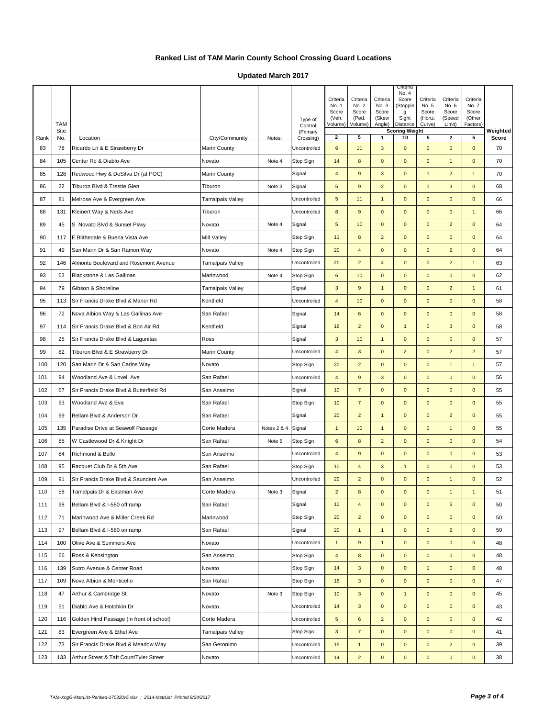**Updated March 2017**

|      |                    |                                          |                         |             | Type of             | Criteria<br>No. 1<br>Score<br>(Veh. | Criteria<br>No. 2<br>Score<br>(Ped. | Criteria<br>No. 3<br>Score<br>(Skew | Criteria<br>No. 4<br>Score<br>(Stoppin<br>g<br>Sight | Criteria<br>No. 5<br>Score<br>(Horiz. | Criteria<br>No. 6<br>Score<br>(Speed | Criteria<br>No. 7<br>Score<br>(Other |          |
|------|--------------------|------------------------------------------|-------------------------|-------------|---------------------|-------------------------------------|-------------------------------------|-------------------------------------|------------------------------------------------------|---------------------------------------|--------------------------------------|--------------------------------------|----------|
|      | <b>TAM</b><br>Site |                                          |                         |             | Control<br>(Primary | Volume)                             | Volume)                             | Angle)                              | Distance<br><b>Scoring Weight</b>                    | Curve)                                | Limit)                               | Factors)                             | Weighted |
| Rank | No.                | Location                                 | City/Community          | Notes:      | Crossing)           | $\mathbf{2}$                        | 5                                   | 1                                   | 10                                                   | 5                                     | 2                                    | 5                                    | Score    |
| 83   | 78                 | Ricardo Ln & E Strawberry Dr             | Marin County            |             | Uncontrolled        | 6                                   | 11                                  | 3                                   | $\mathbf 0$                                          | $\mathbf{0}$                          | $\mathbf 0$                          | $\mathbf 0$                          | 70       |
| 84   | 105                | Center Rd & Diablo Ave                   | Novato                  | Note 4      | Stop Sign           | 14                                  | 8                                   | $\mathbf 0$                         | $\mathbf 0$                                          | $\mathbf 0$                           | $\mathbf{1}$                         | $\mathbf{0}$                         | 70       |
| 85   | 128                | Redwood Hwy & DeSilva Dr (at POC)        | Marin County            |             | Signal              | $\overline{4}$                      | $9$                                 | 3                                   | $\mathbf 0$                                          | $\mathbf{1}$                          | $\overline{2}$                       | $\overline{1}$                       | 70       |
| 86   | 22                 | Tiburon Blvd & Trestle Glen              | Tiburon                 | Note 3      | Signal              | 5                                   | 9                                   | $\mathbf 2$                         | $\mathbf 0$                                          | $\mathbf{1}$                          | $\mathbf 3$                          | $\mathbf{0}$                         | 68       |
| 87   | 81                 | Melrose Ave & Evergreen Ave              | Tamalpais Valley        |             | Uncontrolled        | 5                                   | 11                                  | $\mathbf{1}$                        | $\mathbf 0$                                          | $\mathbf 0$                           | $\mathbf{0}$                         | $\mathbf{0}$                         | 66       |
| 88   | 131                | Kleinert Way & Neds Ave                  | Tiburon                 |             | Uncontrolled        | 8                                   | $9$                                 | $\pmb{0}$                           | $\mathbf 0$                                          | $\mathbf 0$                           | $\mathbf{0}$                         | $\overline{1}$                       | 66       |
| 89   | 45                 | S Novato Blvd & Sunset Pkwy              | Novato                  | Note 4      | Signal              | $\overline{5}$                      | 10                                  | $\pmb{0}$                           | $\mathbf 0$                                          | $\mathbf{0}$                          | $\overline{2}$                       | $\mathbf{0}$                         | 64       |
| 90   | 117                | E Blithedale & Buena Vista Ave           | Mill Valley             |             | Stop Sign           | 11                                  | 8                                   | $\overline{2}$                      | $\mathbf 0$                                          | $\mathbf 0$                           | $\mathbf 0$                          | $\mathbf 0$                          | 64       |
| 91   | 49                 | San Marin Dr & San Ramon Way             | Novato                  | Note 4      | Stop Sign           | 20                                  | $\overline{4}$                      | $\mathbf 0$                         | $\mathbf 0$                                          | $\mathbf 0$                           | $\overline{2}$                       | $\mathbf 0$                          | 64       |
| 92   | 146                | Almonte Boulevard and Rosemont Avenue    | <b>Tamalpais Valley</b> |             | Uncontrolled        | 20                                  | $\overline{2}$                      | $\overline{\mathbf{4}}$             | $\mathbf 0$                                          | $\mathbf 0$                           | $\overline{2}$                       | $\mathbf{1}$                         | 63       |
| 93   | 62                 | Blackstone & Las Gallinas                | Marinwood               | Note 4      | Stop Sign           | 6                                   | 10                                  | $\pmb{0}$                           | $\mathbf 0$                                          | $\mathbf 0$                           | $\mathbf 0$                          | $\mathbf 0$                          | 62       |
| 94   | 79                 | Gibson & Shoreline                       | <b>Tamalpais Valley</b> |             | Signal              | 3                                   | $9$                                 | $\mathbf{1}$                        | $\mathbf 0$                                          | $\mathbf 0$                           | $\overline{2}$                       | $\mathbf{1}$                         | 61       |
| 95   | 113                | Sir Francis Drake Blvd & Manor Rd        | Kentfield               |             | Uncontrolled        | $\overline{4}$                      | 10                                  | $\mathbf 0$                         | $\mathbf 0$                                          | $\mathbf 0$                           | $\mathbf{0}$                         | $\mathbf 0$                          | 58       |
| 96   | 72                 | Nova Albion Way & Las Gallinas Ave       | San Rafael              |             | Signal              | 14                                  | 6                                   | $\mathbf 0$                         | $\mathbf 0$                                          | $\mathbf{0}$                          | $\mathbf 0$                          | $\mathbf 0$                          | 58       |
| 97   | 114                | Sir Francis Drake Blvd & Bon Air Rd      | Kentfield               |             | Signal              | 16                                  | $\overline{2}$                      | $\mathbf 0$                         | $\mathbf{1}$                                         | $\mathbf 0$                           | $\mathbf{3}$                         | $\mathbf 0$                          | 58       |
| 98   | 25                 | Sir Francis Drake Blvd & Lagunitas       | Ross                    |             | Signal              | $\mathbf{3}$                        | 10                                  | $\mathbf{1}$                        | $\mathbf 0$                                          | $\mathbf{0}$                          | $\mathbf{0}$                         | $\mathbf 0$                          | 57       |
| 99   | 82                 | Tiburon Blvd & E Strawberry Dr           | Marin County            |             | Uncontrolled        | $\overline{4}$                      | 3                                   | $\pmb{0}$                           | $\overline{2}$                                       | $\mathbf 0$                           | $\overline{2}$                       | $\overline{2}$                       | 57       |
| 100  | 120                | San Marin Dr & San Carlos Way            | Novato                  |             | Stop Sign           | 20                                  | $\overline{2}$                      | $\pmb{0}$                           | $\mathbf 0$                                          | $\mathbf 0$                           | $\mathbf{1}$                         | $\mathbf{1}$                         | 57       |
| 101  | 94                 | Woodland Ave & Lovell Ave                | San Rafael              |             | Uncontrolled        | $\overline{4}$                      | $\overline{9}$                      | $\sqrt{3}$                          | $\mathbf 0$                                          | $\mathbf 0$                           | $\mathbf{0}$                         | $\mathbf 0$                          | 56       |
| 102  | 67                 | Sir Francis Drake Blvd & Butterfield Rd  | San Anselmo             |             | Signal              | 10                                  | $\overline{7}$                      | $\mathbf 0$                         | $\mathbf 0$                                          | $\mathbf 0$                           | $\mathbf 0$                          | $\mathbf 0$                          | 55       |
| 103  | 93                 | Woodland Ave & Eva                       | San Rafael              |             | Stop Sign           | 10                                  | $\overline{7}$                      | $\mathbf 0$                         | $\mathbf 0$                                          | $\mathbf 0$                           | $\mathbf 0$                          | $\mathbf 0$                          | 55       |
| 104  | 99                 | Bellam Blvd & Anderson Dr                | San Rafael              |             | Signal              | 20                                  | $\overline{2}$                      | $\mathbf{1}$                        | $\mathbf 0$                                          | $\mathbf 0$                           | $\overline{2}$                       | $\mathbf{0}$                         | 55       |
| 105  | 135                | Paradise Drive at Seawolf Passage        | Corte Madera            | Notes 2 & 4 | Signal              | $\mathbf{1}$                        | 10                                  | $\mathbf{1}$                        | $\mathbf 0$                                          | $\mathbf 0$                           | $\mathbf{1}$                         | $\mathbf 0$                          | 55       |
| 106  | 55                 | W Castlewood Dr & Knight Dr              | San Rafael              | Note 5      | Stop Sign           | 6                                   | 8                                   | $\overline{2}$                      | $\mathbf 0$                                          | $\mathbf 0$                           | $\mathbf 0$                          | $\mathbf 0$                          | 54       |
| 107  | 84                 | Richmond & Belle                         | San Anselmo             |             | Uncontrolled        | $\overline{4}$                      | 9                                   | $\mathbf 0$                         | $\mathbf 0$                                          | $\mathbf 0$                           | $\mathbf{0}$                         | $\mathbf{0}$                         | 53       |
| 108  | 95                 | Racquet Club Dr & 5th Ave                | San Rafael              |             | Stop Sign           | 10                                  | $\overline{4}$                      | $\sqrt{3}$                          | $\mathbf{1}$                                         | $\mathbf 0$                           | $\mathbf 0$                          | $\mathbf 0$                          | 53       |
| 109  | 91                 | Sir Francis Drake Blvd & Saunders Ave    | San Anselmo             |             | Uncontrolled        | 20                                  | $\overline{2}$                      | $\pmb{0}$                           | $\mathbf 0$                                          | $\mathbf 0$                           | $\mathbf{1}$                         | $\mathbf 0$                          | 52       |
| 110  | 58                 | Tamalpais Dr & Eastman Ave               | Corte Madera            | Note 3      | Signal              | $\overline{c}$                      | 8                                   | $\mathbf{0}$                        | $\mathbf{0}$                                         | $\mathbf{0}$                          | $\mathbf{1}$                         | $\overline{1}$                       | 51       |
| 111  | 98                 | Bellam Blvd & I-580 off ramp             | San Rafael              |             | Signal              | 10                                  | $\overline{4}$                      | $\pmb{0}$                           | $\pmb{0}$                                            | $\mathbf{0}$                          | ${\bf 5}$                            | $\mathbf 0$                          | 50       |
| 112  | 71                 | Marinwood Ave & Miller Creek Rd          | Marinwood               |             | Stop Sign           | 20                                  | $\overline{2}$                      | $\pmb{0}$                           | $\pmb{0}$                                            | $\mathbf 0$                           | $\mathbf 0$                          | $\mathbf 0$                          | 50       |
| 113  | 97                 | Bellam Blvd & I-580 on ramp              | San Rafael              |             | Signal              | 20                                  | $\mathbf{1}$                        | $\mathbf{1}$                        | $\pmb{0}$                                            | $\mathbf 0$                           | $\overline{2}$                       | $\pmb{0}$                            | 50       |
| 114  | 100                | Olive Ave & Summers Ave                  | Novato                  |             | Uncontrolled        | $\mathbf{1}$                        | $\mathsf g$                         | $\mathbf{1}$                        | $\pmb{0}$                                            | $\mathbf 0$                           | $\mathbf 0$                          | $\pmb{0}$                            | 48       |
| 115  | 66                 | Ross & Kensington                        | San Anselmo             |             | Stop Sign           | $\overline{4}$                      | $\bf{8}$                            | $\pmb{0}$                           | 0                                                    | $\pmb{0}$                             | $\pmb{0}$                            | $\mathbf 0$                          | 48       |
| 116  | 139                | Sutro Avenue & Center Road               | Novato                  |             | Stop Sign           | 14                                  | $\mathbf{3}$                        | $\pmb{0}$                           | $\mathbf 0$                                          | $\mathbf{1}$                          | $\mathbf 0$                          | $\mathbf 0$                          | 48       |
| 117  | 109                | Nova Albion & Monticello                 | San Rafael              |             | Stop Sign           | 16                                  | $\mathbf{3}$                        | $\pmb{0}$                           | $\mathbf 0$                                          | $\mathbf 0$                           | $\mathbf 0$                          | $\mathbf 0$                          | 47       |
| 118  | 47                 | Arthur & Cambridge St                    | Novato                  | Note 3      | Stop Sign           | 10                                  | 3                                   | $\pmb{0}$                           | $\mathbf{1}$                                         | $\pmb{0}$                             | $\mathbf 0$                          | $\mathbf 0$                          | 45       |
| 119  | 51                 | Diablo Ave & Hotchkin Dr                 | Novato                  |             | Uncontrolled        | 14                                  | $\mathsf 3$                         | $\pmb{0}$                           | $\pmb{0}$                                            | $\mathbf 0$                           | $\mathbf 0$                          | $\mathbf 0$                          | 43       |
| 120  | 116                | Golden Hind Passage (in front of school) | Corte Madera            |             | Uncontrolled        | 5                                   | 6                                   | $\overline{2}$                      | $\mathbf 0$                                          | $\mathbf 0$                           | $\mathbf 0$                          | $\mathbf 0$                          | 42       |
| 121  | 83                 | Evergreen Ave & Ethel Ave                | Tamalpais Valley        |             | Stop Sign           | $\ensuremath{\mathsf{3}}$           | $\overline{7}$                      | $\pmb{0}$                           | 0                                                    | $\pmb{0}$                             | $\mathbf 0$                          | $\mathbf 0$                          | 41       |
| 122  | 73                 | Sir Francis Drake Blvd & Meadow Way      | San Geronimo            |             | Uncontrolled        | 15                                  | $\mathbf{1}$                        | $\pmb{0}$                           | $\mathbf 0$                                          | $\mathbf 0$                           | $\overline{a}$                       | $\mathbf 0$                          | 39       |
| 123  | 133                | Arthur Street & Taft Court/Tyler Street  | Novato                  |             | Uncontrolled        | 14                                  | $\overline{2}$                      | $\pmb{0}$                           | $\mathbf 0$                                          | $\mathbf 0$                           | $\mathbf 0$                          | $\mathbf{0}$                         | 38       |